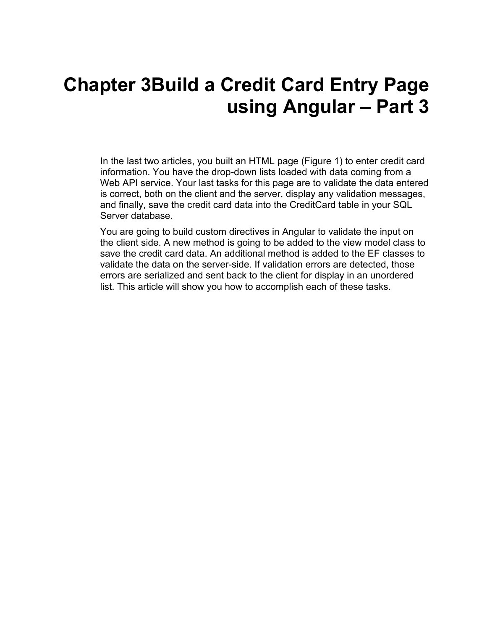## **Chapter 3Build a Credit Card Entry Page using Angular – Part 3**

In the last two articles, you built an HTML page [\(Figure 1\)](#page-1-0) to enter credit card information. You have the drop-down lists loaded with data coming from a Web API service. Your last tasks for this page are to validate the data entered is correct, both on the client and the server, display any validation messages, and finally, save the credit card data into the CreditCard table in your SQL Server database.

You are going to build custom directives in Angular to validate the input on the client side. A new method is going to be added to the view model class to save the credit card data. An additional method is added to the EF classes to validate the data on the server-side. If validation errors are detected, those errors are serialized and sent back to the client for display in an unordered list. This article will show you how to accomplish each of these tasks.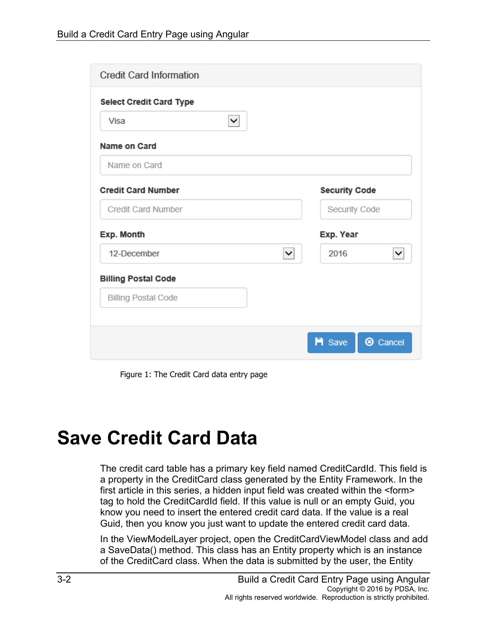| <b>Select Credit Card Type</b> |                                      |
|--------------------------------|--------------------------------------|
| $\checkmark$<br>Visa           |                                      |
| Name on Card                   |                                      |
| Name on Card                   |                                      |
| <b>Credit Card Number</b>      | <b>Security Code</b>                 |
| <b>Credit Card Number</b>      | Security Code                        |
| Exp. Month                     | Exp. Year                            |
| 12-December<br>$\checkmark$    | 2016<br>✓                            |
| <b>Billing Postal Code</b>     |                                      |
| <b>Billing Postal Code</b>     |                                      |
|                                |                                      |
|                                | <b>H</b> Save<br><sup>®</sup> Cancel |

Figure 1: The Credit Card data entry page

## <span id="page-1-0"></span>**Save Credit Card Data**

The credit card table has a primary key field named CreditCardId. This field is a property in the CreditCard class generated by the Entity Framework. In the first article in this series, a hidden input field was created within the <form> tag to hold the CreditCardId field. If this value is null or an empty Guid, you know you need to insert the entered credit card data. If the value is a real Guid, then you know you just want to update the entered credit card data.

In the ViewModelLayer project, open the CreditCardViewModel class and add a SaveData() method. This class has an Entity property which is an instance of the CreditCard class. When the data is submitted by the user, the Entity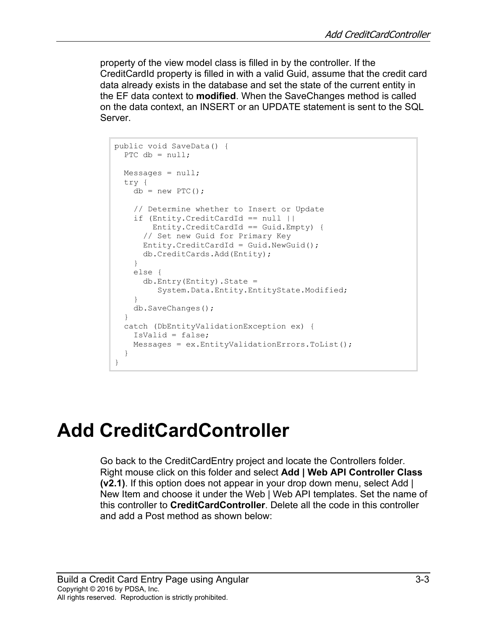property of the view model class is filled in by the controller. If the CreditCardId property is filled in with a valid Guid, assume that the credit card data already exists in the database and set the state of the current entity in the EF data context to **modified**. When the SaveChanges method is called on the data context, an INSERT or an UPDATE statement is sent to the SQL Server.

```
public void SaveData() {
 PTC db = null;
 Messages = null; try {
    db = new PTC();
     // Determine whether to Insert or Update
     if (Entity.CreditCardId == null ||
        Entity.CreditCardId == Guid.Empty) {
       // Set new Guid for Primary Key
     Entity.CreditCardId = Gui.\NewGuid();
      db.CreditCards.Add(Entity);
     }
     else {
       db.Entry(Entity).State =
          System.Data.Entity.EntityState.Modified;
     }
     db.SaveChanges();
  }
  catch (DbEntityValidationException ex) {
     IsValid = false;
    Messages = ex.EntityValidationErrors.ToList();
   }
}
```
# **Add CreditCardController**

Go back to the CreditCardEntry project and locate the Controllers folder. Right mouse click on this folder and select **Add | Web API Controller Class (v2.1)**. If this option does not appear in your drop down menu, select Add | New Item and choose it under the Web | Web API templates. Set the name of this controller to **CreditCardController**. Delete all the code in this controller and add a Post method as shown below: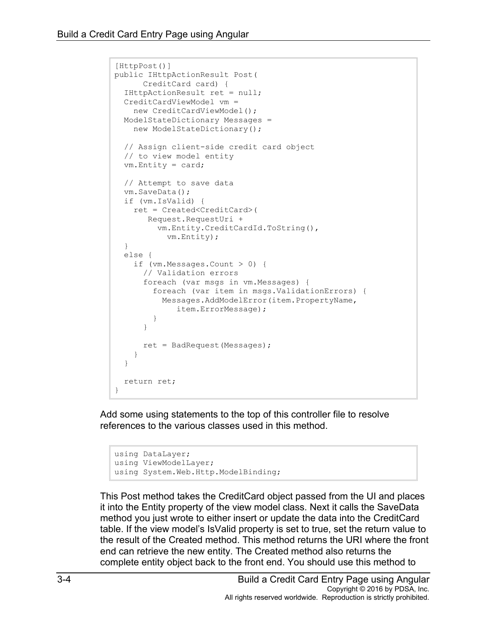```
[HttpPost()]
public IHttpActionResult Post(
      CreditCard card) {
  IHttpActionResult ret = null;
  CreditCardViewModel vm = 
   new CreditCardViewModel();
  ModelStateDictionary Messages = 
   new ModelStateDictionary();
  // Assign client-side credit card object 
  // to view model entity
  vm.Entity = card;
  // Attempt to save data
  vm.SaveData();
  if (vm.IsValid) {
    ret = Created<CreditCard>(
       Request.RequestUri +
          vm.Entity.CreditCardId.ToString(), 
            vm.Entity);
  }
  else {
     if (vm.Messages.Count > 0) {
       // Validation errors
       foreach (var msgs in vm.Messages) {
         foreach (var item in msgs.ValidationErrors) {
           Messages.AddModelError(item.PropertyName,
        item.ErrorMessage);
 }
       }
       ret = BadRequest(Messages);
     }
   }
   return ret;
}
```
Add some using statements to the top of this controller file to resolve references to the various classes used in this method.

```
using DataLayer;
using ViewModelLayer;
using System.Web.Http.ModelBinding;
```
This Post method takes the CreditCard object passed from the UI and places it into the Entity property of the view model class. Next it calls the SaveData method you just wrote to either insert or update the data into the CreditCard table. If the view model's IsValid property is set to true, set the return value to the result of the Created method. This method returns the URI where the front end can retrieve the new entity. The Created method also returns the complete entity object back to the front end. You should use this method to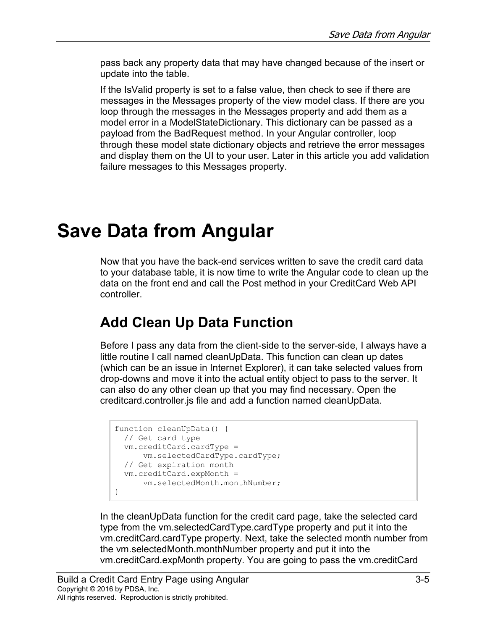pass back any property data that may have changed because of the insert or update into the table.

If the IsValid property is set to a false value, then check to see if there are messages in the Messages property of the view model class. If there are you loop through the messages in the Messages property and add them as a model error in a ModelStateDictionary. This dictionary can be passed as a payload from the BadRequest method. In your Angular controller, loop through these model state dictionary objects and retrieve the error messages and display them on the UI to your user. Later in this article you add validation failure messages to this Messages property.

## **Save Data from Angular**

Now that you have the back-end services written to save the credit card data to your database table, it is now time to write the Angular code to clean up the data on the front end and call the Post method in your CreditCard Web API controller.

#### **Add Clean Up Data Function**

Before I pass any data from the client-side to the server-side, I always have a little routine I call named cleanUpData. This function can clean up dates (which can be an issue in Internet Explorer), it can take selected values from drop-downs and move it into the actual entity object to pass to the server. It can also do any other clean up that you may find necessary. Open the creditcard.controller.js file and add a function named cleanUpData.

```
function cleanUpData() {
  // Get card type
  vm.creditCard.cardType = 
      vm.selectedCardType.cardType;
  // Get expiration month
  vm.creditCard.expMonth = 
       vm.selectedMonth.monthNumber;
}
```
In the cleanUpData function for the credit card page, take the selected card type from the vm.selectedCardType.cardType property and put it into the vm.creditCard.cardType property. Next, take the selected month number from the vm.selectedMonth.monthNumber property and put it into the vm.creditCard.expMonth property. You are going to pass the vm.creditCard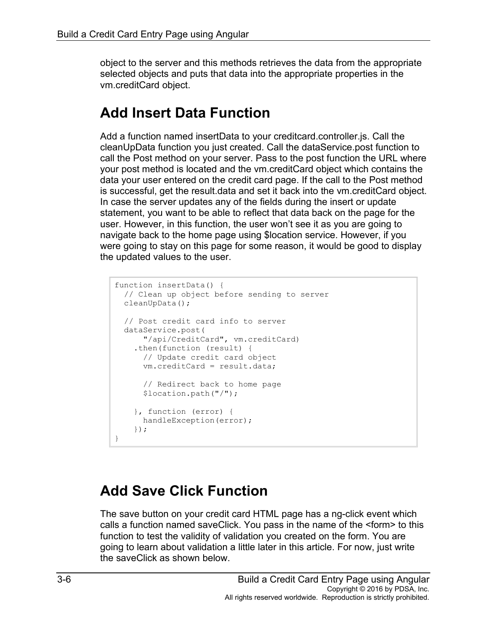object to the server and this methods retrieves the data from the appropriate selected objects and puts that data into the appropriate properties in the vm.creditCard object.

#### **Add Insert Data Function**

Add a function named insertData to your creditcard.controller.js. Call the cleanUpData function you just created. Call the dataService.post function to call the Post method on your server. Pass to the post function the URL where your post method is located and the vm.creditCard object which contains the data your user entered on the credit card page. If the call to the Post method is successful, get the result.data and set it back into the vm.creditCard object. In case the server updates any of the fields during the insert or update statement, you want to be able to reflect that data back on the page for the user. However, in this function, the user won't see it as you are going to navigate back to the home page using \$location service. However, if you were going to stay on this page for some reason, it would be good to display the updated values to the user.

```
function insertData() {
  // Clean up object before sending to server
  cleanUpData();
  // Post credit card info to server
  dataService.post(
       "/api/CreditCard", vm.creditCard)
     .then(function (result) {
      // Update credit card object
       vm.creditCard = result.data;
       // Redirect back to home page
       $location.path("/");
    }, function (error) {
     handleException(error);
    });
}
```
#### **Add Save Click Function**

The save button on your credit card HTML page has a ng-click event which calls a function named saveClick. You pass in the name of the <form> to this function to test the validity of validation you created on the form. You are going to learn about validation a little later in this article. For now, just write the saveClick as shown below.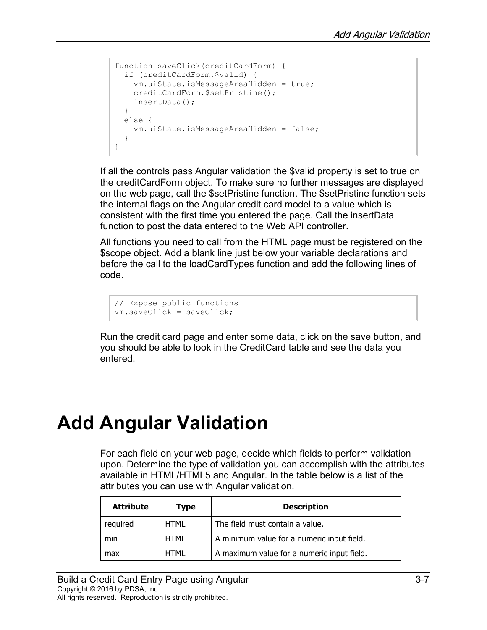```
function saveClick(creditCardForm) {
  if (creditCardForm.$valid) {
    vm.uiState.isMessageAreaHidden = true;
    creditCardForm.$setPristine();
    insertData();
  }
  else {
    vm.uiState.isMessageAreaHidden = false;
  }
}
```
If all the controls pass Angular validation the \$valid property is set to true on the creditCardForm object. To make sure no further messages are displayed on the web page, call the \$setPristine function. The \$setPristine function sets the internal flags on the Angular credit card model to a value which is consistent with the first time you entered the page. Call the insertData function to post the data entered to the Web API controller.

All functions you need to call from the HTML page must be registered on the \$scope object. Add a blank line just below your variable declarations and before the call to the loadCardTypes function and add the following lines of code.

```
// Expose public functions
vm.saveClick = saveClick;
```
Run the credit card page and enter some data, click on the save button, and you should be able to look in the CreditCard table and see the data you entered.

# **Add Angular Validation**

For each field on your web page, decide which fields to perform validation upon. Determine the type of validation you can accomplish with the attributes available in HTML/HTML5 and Angular. In the table below is a list of the attributes you can use with Angular validation.

| <b>Attribute</b> | Type        | <b>Description</b>                         |
|------------------|-------------|--------------------------------------------|
| required         | HTML        | The field must contain a value.            |
| min              | HTML        | A minimum value for a numeric input field. |
| max              | <b>HTML</b> | A maximum value for a numeric input field. |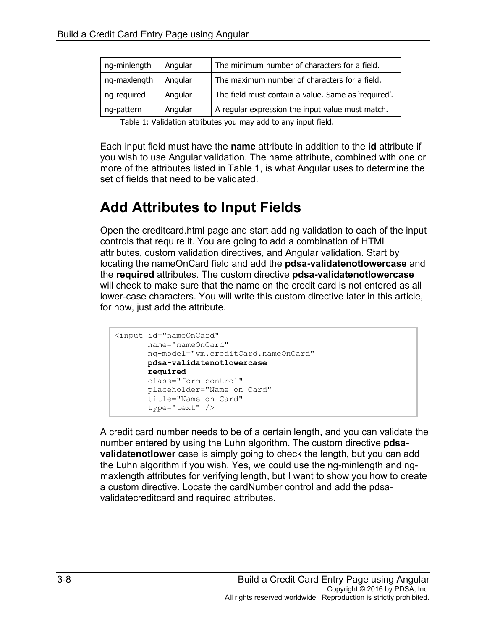| ng-minlength | Angular | The minimum number of characters for a field.       |
|--------------|---------|-----------------------------------------------------|
| ng-maxlength | Angular | The maximum number of characters for a field.       |
| ng-required  | Angular | The field must contain a value. Same as 'required'. |
| ng-pattern   | Angular | A regular expression the input value must match.    |

Table 1: Validation attributes you may add to any input field.

Each input field must have the **name** attribute in addition to the **id** attribute if you wish to use Angular validation. The name attribute, combined with one or more of the attributes listed in Table 1, is what Angular uses to determine the set of fields that need to be validated.

#### **Add Attributes to Input Fields**

Open the creditcard.html page and start adding validation to each of the input controls that require it. You are going to add a combination of HTML attributes, custom validation directives, and Angular validation. Start by locating the nameOnCard field and add the **pdsa-validatenotlowercase** and the **required** attributes. The custom directive **pdsa-validatenotlowercase** will check to make sure that the name on the credit card is not entered as all lower-case characters. You will write this custom directive later in this article, for now, just add the attribute.

```
<input id="nameOnCard"
       name="nameOnCard"
       ng-model="vm.creditCard.nameOnCard"
       pdsa-validatenotlowercase
       required
        class="form-control"
        placeholder="Name on Card"
        title="Name on Card"
        type="text" />
```
A credit card number needs to be of a certain length, and you can validate the number entered by using the Luhn algorithm. The custom directive **pdsavalidatenotlower** case is simply going to check the length, but you can add the Luhn algorithm if you wish. Yes, we could use the ng-minlength and ngmaxlength attributes for verifying length, but I want to show you how to create a custom directive. Locate the cardNumber control and add the pdsavalidatecreditcard and required attributes.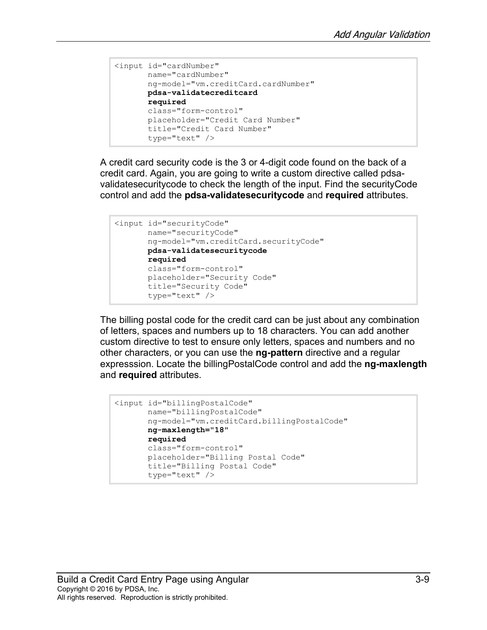```
<input id="cardNumber"
       name="cardNumber"
       ng-model="vm.creditCard.cardNumber"
       pdsa-validatecreditcard
       required
       class="form-control"
       placeholder="Credit Card Number"
       title="Credit Card Number"
        type="text" />
```
A credit card security code is the 3 or 4-digit code found on the back of a credit card. Again, you are going to write a custom directive called pdsavalidatesecuritycode to check the length of the input. Find the securityCode control and add the **pdsa-validatesecuritycode** and **required** attributes.

```
<input id="securityCode"
       name="securityCode"
       ng-model="vm.creditCard.securityCode"
       pdsa-validatesecuritycode
       required
       class="form-control"
       placeholder="Security Code"
       title="Security Code"
       type="text" />
```
The billing postal code for the credit card can be just about any combination of letters, spaces and numbers up to 18 characters. You can add another custom directive to test to ensure only letters, spaces and numbers and no other characters, or you can use the **ng-pattern** directive and a regular expresssion. Locate the billingPostalCode control and add the **ng-maxlength** and **required** attributes.

```
<input id="billingPostalCode"
       name="billingPostalCode"
       ng-model="vm.creditCard.billingPostalCode"
       ng-maxlength="18"
       required
       class="form-control"
        placeholder="Billing Postal Code"
       title="Billing Postal Code"
       type="text" />
```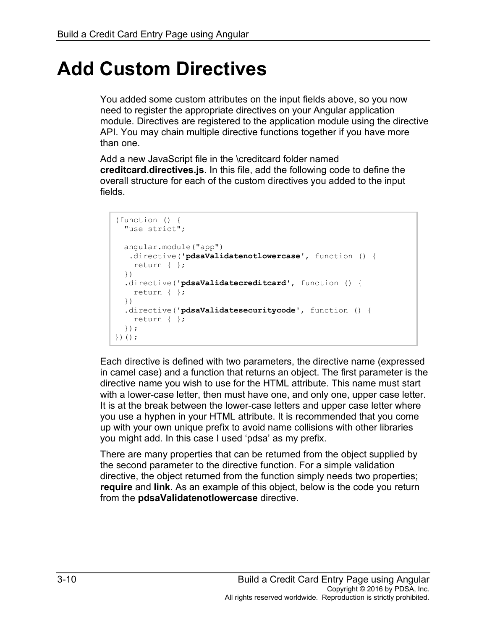# **Add Custom Directives**

You added some custom attributes on the input fields above, so you now need to register the appropriate directives on your Angular application module. Directives are registered to the application module using the directive API. You may chain multiple directive functions together if you have more than one.

Add a new JavaScript file in the \creditcard folder named **creditcard.directives.js**. In this file, add the following code to define the overall structure for each of the custom directives you added to the input fields.

```
(function () {
  "use strict";
  angular.module("app")
   .directive('pdsaValidatenotlowercase', function () {
   return { };
  })
  .directive('pdsaValidatecreditcard', function () {
    return { };
  })
  .directive('pdsaValidatesecuritycode', function () {
    return { };
  });
})();
```
Each directive is defined with two parameters, the directive name (expressed in camel case) and a function that returns an object. The first parameter is the directive name you wish to use for the HTML attribute. This name must start with a lower-case letter, then must have one, and only one, upper case letter. It is at the break between the lower-case letters and upper case letter where you use a hyphen in your HTML attribute. It is recommended that you come up with your own unique prefix to avoid name collisions with other libraries you might add. In this case I used 'pdsa' as my prefix.

There are many properties that can be returned from the object supplied by the second parameter to the directive function. For a simple validation directive, the object returned from the function simply needs two properties; **require** and **link**. As an example of this object, below is the code you return from the **pdsaValidatenotlowercase** directive.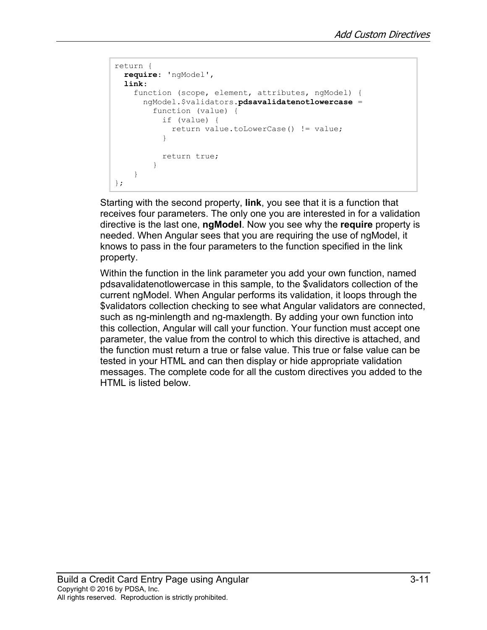```
return {
  require: 'ngModel',
  link: 
    function (scope, element, attributes, ngModel) {
      ngModel.$validators.pdsavalidatenotlowercase =
        function (value) {
          if (value) {
            return value.toLowerCase() != value;
 }
       return true;
 }
    }
};
```
Starting with the second property, **link**, you see that it is a function that receives four parameters. The only one you are interested in for a validation directive is the last one, **ngModel**. Now you see why the **require** property is needed. When Angular sees that you are requiring the use of ngModel, it knows to pass in the four parameters to the function specified in the link property.

Within the function in the link parameter you add your own function, named pdsavalidatenotlowercase in this sample, to the \$validators collection of the current ngModel. When Angular performs its validation, it loops through the \$validators collection checking to see what Angular validators are connected, such as ng-minlength and ng-maxlength. By adding your own function into this collection, Angular will call your function. Your function must accept one parameter, the value from the control to which this directive is attached, and the function must return a true or false value. This true or false value can be tested in your HTML and can then display or hide appropriate validation messages. The complete code for all the custom directives you added to the HTML is listed below.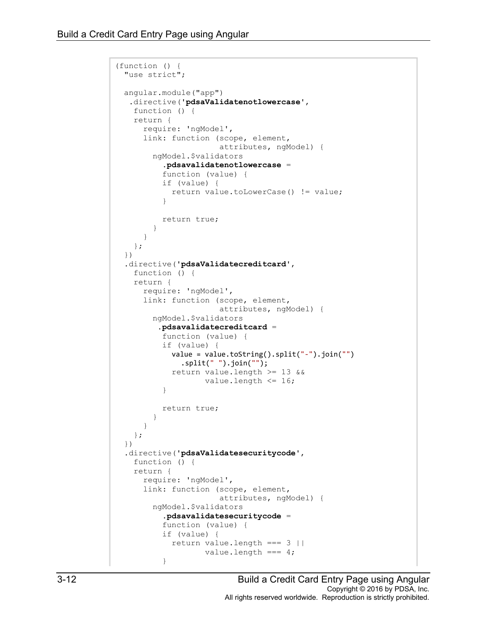```
(function () {
  "use strict";
  angular.module("app")
   .directive('pdsaValidatenotlowercase', 
    function () {
    return {
       require: 'ngModel',
       link: function (scope, element,
                        attributes, ngModel) {
         ngModel.$validators
           .pdsavalidatenotlowercase =
           function (value) {
           if (value) {
          return value.toLowerCase() != value;<br>}
 }
          return true;
         }
       }
    };
  })
   .directive('pdsaValidatecreditcard', 
    function () {
    return {
       require: 'ngModel',
       link: function (scope, element, 
                        attributes, ngModel) {
         ngModel.$validators
          .pdsavalidatecreditcard = 
           function (value) {
           if (value) {
             value = value.toString().split("-").join("")
               .split(" ").join("");
             return value.length >= 13 && 
                   value.length \leq 16;
 }
           return true;
 }
       }
    };
  })
   .directive('pdsaValidatesecuritycode', 
    function () {
    return {
       require: 'ngModel',
       link: function (scope, element, 
                        attributes, ngModel) {
         ngModel.$validators
           .pdsavalidatesecuritycode =
           function (value) {
           if (value) {
             return value.length === 3 ||
          value.length === 4;<br>}
 }
```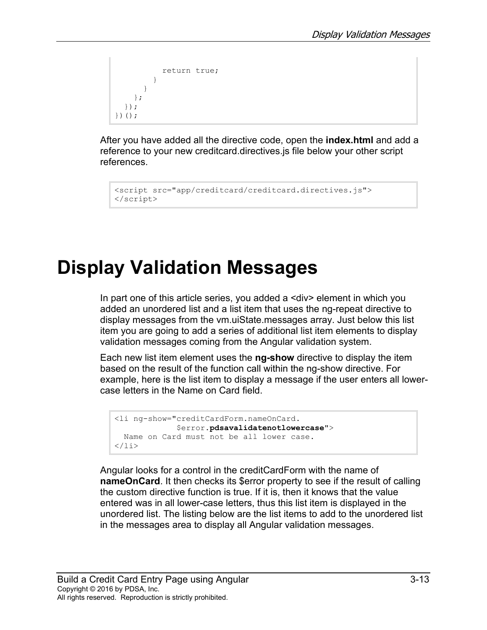```
 return true;
 }
       }
    };
  });
})();
```
After you have added all the directive code, open the **index.html** and add a reference to your new creditcard.directives.js file below your other script references.

```
<script src="app/creditcard/creditcard.directives.js">
</script>
```
# **Display Validation Messages**

In part one of this article series, you added a <div> element in which you added an unordered list and a list item that uses the ng-repeat directive to display messages from the vm.uiState.messages array. Just below this list item you are going to add a series of additional list item elements to display validation messages coming from the Angular validation system.

Each new list item element uses the **ng-show** directive to display the item based on the result of the function call within the ng-show directive. For example, here is the list item to display a message if the user enters all lowercase letters in the Name on Card field.

```
<li ng-show="creditCardForm.nameOnCard.
              $error.pdsavalidatenotlowercase">
  Name on Card must not be all lower case.
\langle/li>
```
Angular looks for a control in the creditCardForm with the name of **nameOnCard**. It then checks its \$error property to see if the result of calling the custom directive function is true. If it is, then it knows that the value entered was in all lower-case letters, thus this list item is displayed in the unordered list. The listing below are the list items to add to the unordered list in the messages area to display all Angular validation messages.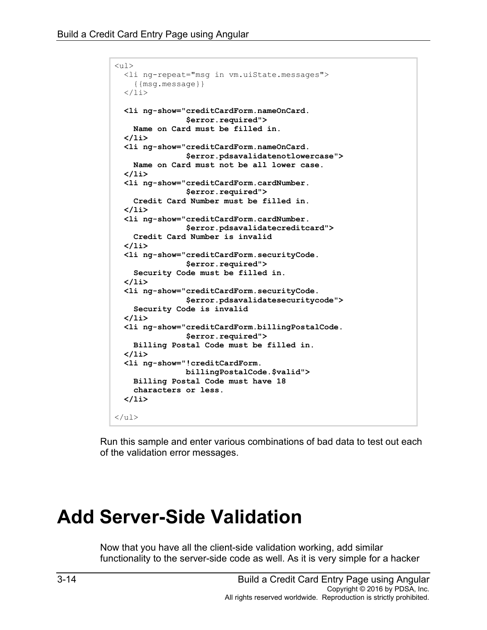```
\langle 111 \rangle <li ng-repeat="msg in vm.uiState.messages">
     {{msg.message}}
  \langle/li> <li ng-show="creditCardForm.nameOnCard.
                 $error.required">
    Name on Card must be filled in.
  </li>
   <li ng-show="creditCardForm.nameOnCard.
                 $error.pdsavalidatenotlowercase">
     Name on Card must not be all lower case.
   </li>
   <li ng-show="creditCardForm.cardNumber.
                 $error.required">
     Credit Card Number must be filled in.
   </li>
   <li ng-show="creditCardForm.cardNumber.
                 $error.pdsavalidatecreditcard">
     Credit Card Number is invalid
   </li>
   <li ng-show="creditCardForm.securityCode.
                 $error.required">
     Security Code must be filled in.
   </li>
   <li ng-show="creditCardForm.securityCode.
                 $error.pdsavalidatesecuritycode">
     Security Code is invalid
   </li>
   <li ng-show="creditCardForm.billingPostalCode.
                 $error.required">
     Billing Postal Code must be filled in.
   </li>
   <li ng-show="!creditCardForm.
                billingPostalCode.$valid">
     Billing Postal Code must have 18 
     characters or less.
   </li>
\langle/ul>
```
Run this sample and enter various combinations of bad data to test out each of the validation error messages.

# **Add Server-Side Validation**

Now that you have all the client-side validation working, add similar functionality to the server-side code as well. As it is very simple for a hacker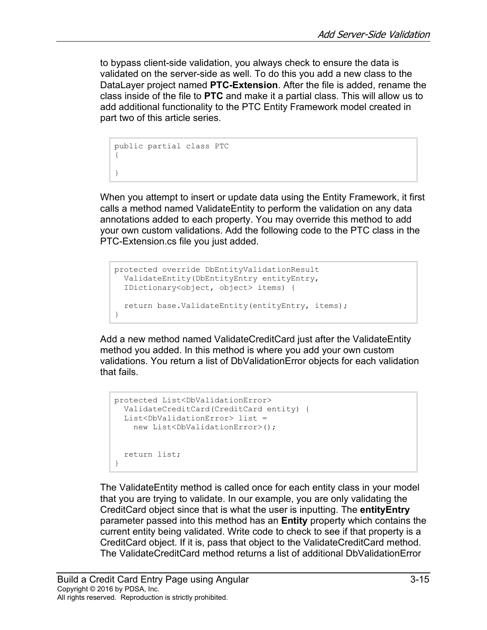to bypass client-side validation, you always check to ensure the data is validated on the server-side as well. To do this you add a new class to the DataLayer project named **PTC-Extension**. After the file is added, rename the class inside of the file to **PTC** and make it a partial class. This will allow us to add additional functionality to the PTC Entity Framework model created in part two of this article series.

```
public partial class PTC
{
}
```
When you attempt to insert or update data using the Entity Framework, it first calls a method named ValidateEntity to perform the validation on any data annotations added to each property. You may override this method to add your own custom validations. Add the following code to the PTC class in the PTC-Extension.cs file you just added.

```
protected override DbEntityValidationResult
  ValidateEntity(DbEntityEntry entityEntry,
  IDictionary<object, object> items) {
  return base.ValidateEntity(entityEntry, items);
}
```
Add a new method named ValidateCreditCard just after the ValidateEntity method you added. In this method is where you add your own custom validations. You return a list of DbValidationError objects for each validation that fails.

```
protected List<DbValidationError>
  ValidateCreditCard(CreditCard entity) {
  List<DbValidationError> list = 
   new List<DbValidationError>();
  return list;
}
```
The ValidateEntity method is called once for each entity class in your model that you are trying to validate. In our example, you are only validating the CreditCard object since that is what the user is inputting. The **entityEntry** parameter passed into this method has an **Entity** property which contains the current entity being validated. Write code to check to see if that property is a CreditCard object. If it is, pass that object to the ValidateCreditCard method. The ValidateCreditCard method returns a list of additional DbValidationError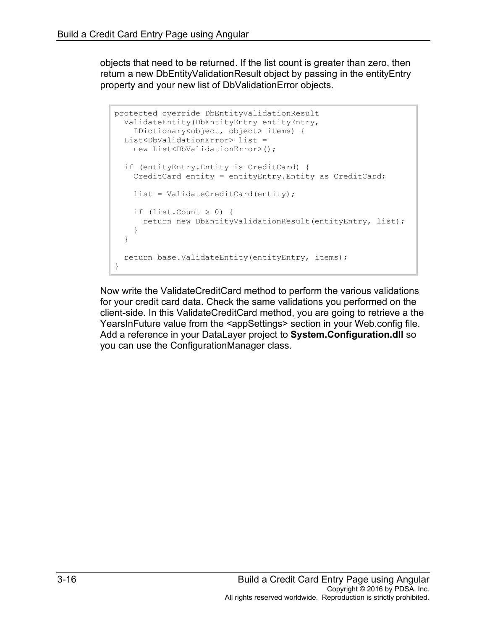objects that need to be returned. If the list count is greater than zero, then return a new DbEntityValidationResult object by passing in the entityEntry property and your new list of DbValidationError objects.

```
protected override DbEntityValidationResult 
  ValidateEntity(DbEntityEntry entityEntry,
    IDictionary<object, object> items) {
  List<DbValidationError> list = 
   new List<DbValidationError>();
  if (entityEntry.Entity is CreditCard) {
    CreditCard entity = entityEntry.Entity as CreditCard;
    list = ValidateCreditCard(entity);
   if (list.Count > 0) {
      return new DbEntityValidationResult(entityEntry, list);
 }
   }
  return base.ValidateEntity(entityEntry, items);
}
```
Now write the ValidateCreditCard method to perform the various validations for your credit card data. Check the same validations you performed on the client-side. In this ValidateCreditCard method, you are going to retrieve a the YearsInFuture value from the <appSettings> section in your Web.config file. Add a reference in your DataLayer project to **System.Configuration.dll** so you can use the ConfigurationManager class.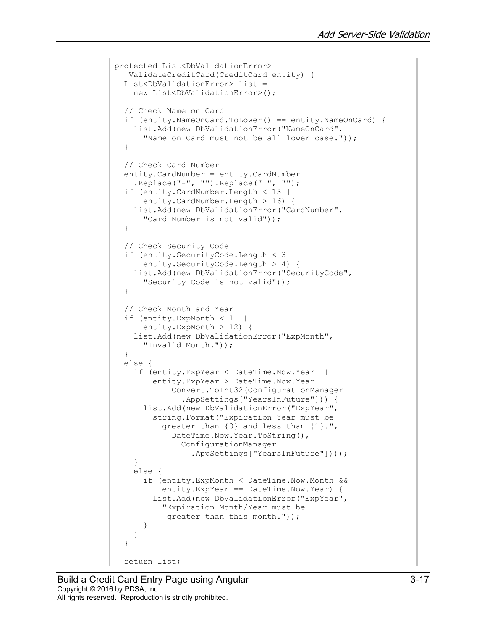```
protected List<DbValidationError> 
   ValidateCreditCard(CreditCard entity) {
  List<DbValidationError> list = 
    new List<DbValidationError>();
  // Check Name on Card
   if (entity.NameOnCard.ToLower() == entity.NameOnCard) {
     list.Add(new DbValidationError("NameOnCard",
       "Name on Card must not be all lower case."));
   }
  // Check Card Number
   entity.CardNumber = entity.CardNumber
     .Replace("-", "").Replace(" ", "");
   if (entity.CardNumber.Length < 13 || 
       entity.CardNumber.Length > 16) {
     list.Add(new DbValidationError("CardNumber",
       "Card Number is not valid"));
   }
  // Check Security Code
   if (entity.SecurityCode.Length < 3 ||
       entity.SecurityCode.Length > 4) {
     list.Add(new DbValidationError("SecurityCode",
       "Security Code is not valid"));
   }
  // Check Month and Year
   if (entity.ExpMonth < 1 || 
       entity.ExpMonth > 12) {
     list.Add(new DbValidationError("ExpMonth", 
       "Invalid Month."));
   }
   else {
     if (entity.ExpYear < DateTime.Now.Year ||
         entity.ExpYear > DateTime.Now.Year +
             Convert.ToInt32(ConfigurationManager
               .AppSettings["YearsInFuture"])) {
       list.Add(new DbValidationError("ExpYear",
         string.Format("Expiration Year must be
           greater than {0} and less than {1}.",
             DateTime.Now.Year.ToString(), 
               ConfigurationManager
                  .AppSettings["YearsInFuture"])));
 }
     else {
       if (entity.ExpMonth < DateTime.Now.Month &&
           entity.ExpYear == DateTime.Now.Year) {
         list.Add(new DbValidationError("ExpYear",
           "Expiration Month/Year must be 
            greater than this month."));
 }
     }
   }
   return list;
```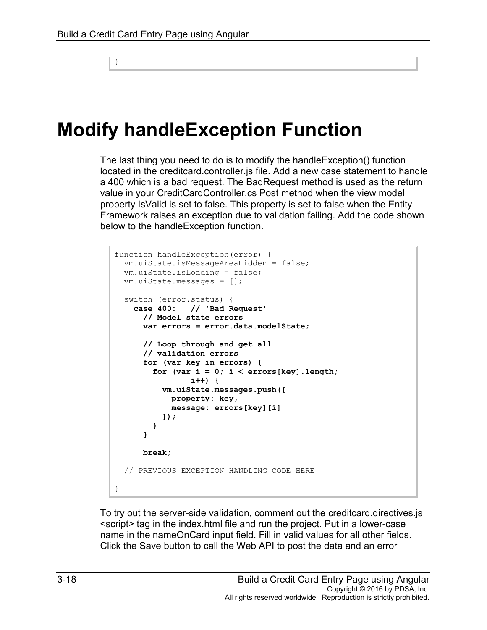}

### **Modify handleException Function**

The last thing you need to do is to modify the handleException() function located in the creditcard.controller.js file. Add a new case statement to handle a 400 which is a bad request. The BadRequest method is used as the return value in your CreditCardController.cs Post method when the view model property IsValid is set to false. This property is set to false when the Entity Framework raises an exception due to validation failing. Add the code shown below to the handleException function.

```
function handleException(error) {
  vm.uiState.isMessageAreaHidden = false;
  vm.uiState.isLoading = false;
  vm.uiState.messages = [];
  switch (error.status) {
    case 400: // 'Bad Request'
       // Model state errors
       var errors = error.data.modelState;
       // Loop through and get all 
       // validation errors
       for (var key in errors) {
         for (var i = 0; i < errors[key].length;
                 i++) {
           vm.uiState.messages.push({
             property: key,
             message: errors[key][i]
           });
 }
       }
      break;
   // PREVIOUS EXCEPTION HANDLING CODE HERE
}
```
To try out the server-side validation, comment out the creditcard.directives.js <script> tag in the index.html file and run the project. Put in a lower-case name in the nameOnCard input field. Fill in valid values for all other fields. Click the Save button to call the Web API to post the data and an error